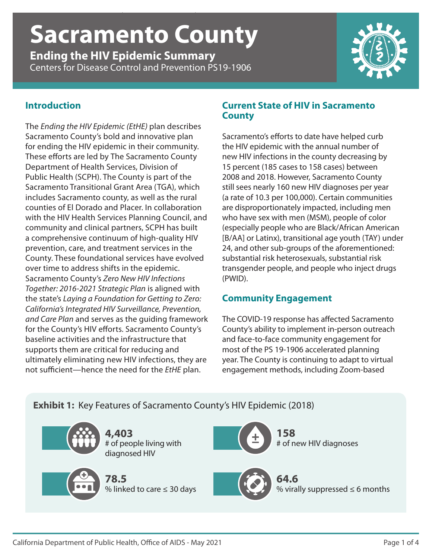# *Ending the HIV Epidemic Summary* | **Sacramento County** | CDC PS19-1906 **Sacramento County**

**Ending the HIV Epidemic Summary** Centers for Disease Control and Prevention PS19-1906



#### **Introduction**

The *Ending the HIV Epidemic (EtHE)* plan describes Sacramento County's bold and innovative plan for ending the HIV epidemic in their community. These efforts are led by The Sacramento County Department of Health Services, Division of Public Health (SCPH). The County is part of the Sacramento Transitional Grant Area (TGA), which includes Sacramento county, as well as the rural counties of El Dorado and Placer. In collaboration with the HIV Health Services Planning Council, and community and clinical partners, SCPH has built a comprehensive continuum of high-quality HIV prevention, care, and treatment services in the County. These foundational services have evolved over time to address shifts in the epidemic. Sacramento County's *Zero New HIV Infections Together: 2016-2021 Strategic Plan* is aligned with the state's *Laying a Foundation for Getting to Zero: California's Integrated HIV Surveillance, Prevention, and Care Plan* and serves as the guiding framework for the County's HIV efforts. Sacramento County's baseline activities and the infrastructure that supports them are critical for reducing and ultimately eliminating new HIV infections, they are not sufficient—hence the need for the *EtHE* plan.

#### **Current State of HIV in Sacramento County**

Sacramento's efforts to date have helped curb the HIV epidemic with the annual number of new HIV infections in the county decreasing by 15 percent (185 cases to 158 cases) between 2008 and 2018. However, Sacramento County still sees nearly 160 new HIV diagnoses per year (a rate of 10.3 per 100,000). Certain communities are disproportionately impacted, including men who have sex with men (MSM), people of color (especially people who are Black/African American [B/AA] or Latinx), transitional age youth (TAY) under 24, and other sub-groups of the aforementioned: substantial risk heterosexuals, substantial risk transgender people, and people who inject drugs (PWID).

### **Community Engagement**

The COVID-19 response has affected Sacramento County's ability to implement in-person outreach and face-to-face community engagement for most of the PS 19-1906 accelerated planning year. The County is continuing to adapt to virtual engagement methods, including Zoom-based

### **Exhibit 1:** Key Features of Sacramento County's HIV Epidemic (2018)

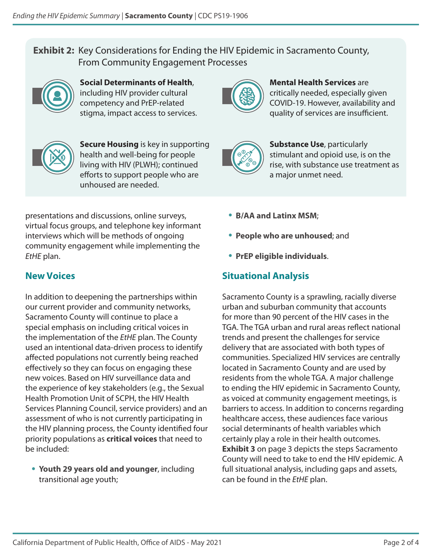#### **Exhibit 2:** Key Considerations for Ending the HIV Epidemic in Sacramento County, From Community Engagement Processes



**Social Determinants of Health**, including HIV provider cultural competency and PrEP-related stigma, impact access to services.



**Secure Housing** is key in supporting health and well-being for people living with HIV (PLWH); continued efforts to support people who are unhoused are needed.



**Mental Health Services** are critically needed, especially given COVID-19. However, availability and quality of services are insufficient.



**Substance Use**, particularly stimulant and opioid use, is on the rise, with substance use treatment as a major unmet need.

presentations and discussions, online surveys, virtual focus groups, and telephone key informant interviews which will be methods of ongoing community engagement while implementing the *EtHE* plan.

# **New Voices**

In addition to deepening the partnerships within our current provider and community networks, Sacramento County will continue to place a special emphasis on including critical voices in the implementation of the *EtHE* plan. The County used an intentional data-driven process to identify affected populations not currently being reached effectively so they can focus on engaging these new voices. Based on HIV surveillance data and the experience of key stakeholders (e.g., the Sexual Health Promotion Unit of SCPH, the HIV Health Services Planning Council, service providers) and an assessment of who is not currently participating in the HIV planning process, the County identified four priority populations as **critical voices** that need to be included:

• **Youth 29 years old and younger**, including transitional age youth;

- **B/AA and Latinx MSM**;
- **People who are unhoused**; and
- **PrEP eligible individuals**.

## **Situational Analysis**

Sacramento County is a sprawling, racially diverse urban and suburban community that accounts for more than 90 percent of the HIV cases in the TGA. The TGA urban and rural areas reflect national trends and present the challenges for service delivery that are associated with both types of communities. Specialized HIV services are centrally located in Sacramento County and are used by residents from the whole TGA. A major challenge to ending the HIV epidemic in Sacramento County, as voiced at community engagement meetings, is barriers to access. In addition to concerns regarding healthcare access, these audiences face various social determinants of health variables which certainly play a role in their health outcomes. **Exhibit 3** on page 3 depicts the steps Sacramento County will need to take to end the HIV epidemic. A full situational analysis, including gaps and assets, can be found in the *EtHE* plan.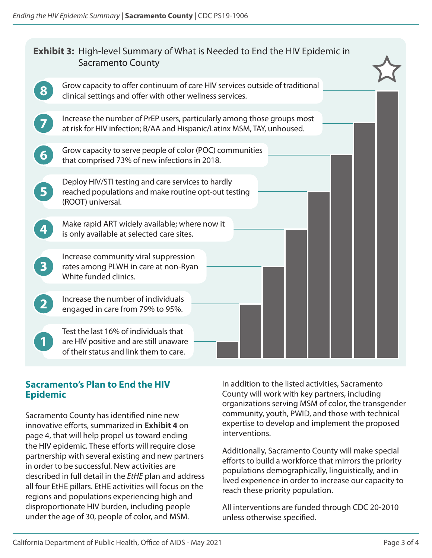| <b>Exhibit 3:</b> High-level Summary of What is Needed to End the HIV Epidemic in<br><b>Sacramento County</b> |                                                                                                                                                    |
|---------------------------------------------------------------------------------------------------------------|----------------------------------------------------------------------------------------------------------------------------------------------------|
|                                                                                                               | Grow capacity to offer continuum of care HIV services outside of traditional<br>clinical settings and offer with other wellness services.          |
|                                                                                                               | Increase the number of PrEP users, particularly among those groups most<br>at risk for HIV infection; B/AA and Hispanic/Latinx MSM, TAY, unhoused. |
| 6                                                                                                             | Grow capacity to serve people of color (POC) communities<br>that comprised 73% of new infections in 2018.                                          |
| 5                                                                                                             | Deploy HIV/STI testing and care services to hardly<br>reached populations and make routine opt-out testing<br>(ROOT) universal.                    |
|                                                                                                               | Make rapid ART widely available; where now it<br>is only available at selected care sites.                                                         |
| $\mathbf{3}$                                                                                                  | Increase community viral suppression<br>rates among PLWH in care at non-Ryan<br>White funded clinics.                                              |
|                                                                                                               | Increase the number of individuals<br>engaged in care from 79% to 95%.                                                                             |
|                                                                                                               | Test the last 16% of individuals that<br>are HIV positive and are still unaware<br>of their status and link them to care.                          |

#### **Sacramento's Plan to End the HIV Epidemic**

Sacramento County has identified nine new innovative efforts, summarized in **Exhibit 4** on page 4, that will help propel us toward ending the HIV epidemic. These efforts will require close partnership with several existing and new partners in order to be successful. New activities are described in full detail in the *EtHE* plan and address all four EtHE pillars. EtHE activities will focus on the regions and populations experiencing high and disproportionate HIV burden, including people under the age of 30, people of color, and MSM.

In addition to the listed activities, Sacramento County will work with key partners, including organizations serving MSM of color, the transgender community, youth, PWID, and those with technical expertise to develop and implement the proposed interventions.

Additionally, Sacramento County will make special efforts to build a workforce that mirrors the priority populations demographically, linguistically, and in lived experience in order to increase our capacity to reach these priority population.

All interventions are funded through CDC 20-2010 unless otherwise specified.